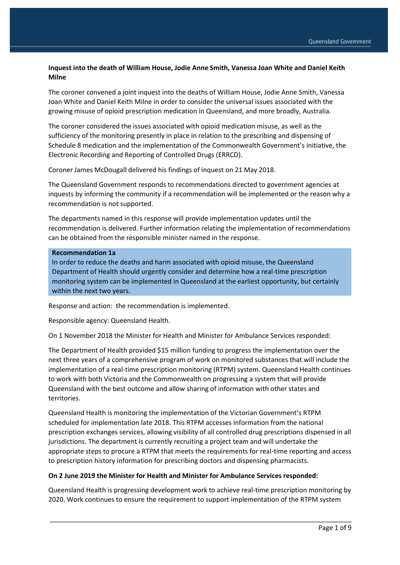## **Inquest into the death of William House, Jodie Anne Smith, Vanessa Joan White and Daniel Keith Milne**

The coroner convened a joint inquest into the deaths of William House, Jodie Anne Smith, Vanessa Joan White and Daniel Keith Milne in order to consider the universal issues associated with the growing misuse of opioid prescription medication in Queensland, and more broadly, Australia.

The coroner considered the issues associated with opioid medication misuse, as well as the sufficiency of the monitoring presently in place in relation to the prescribing and dispensing of Schedule 8 medication and the implementation of the Commonwealth Government's initiative, the Electronic Recording and Reporting of Controlled Drugs (ERRCD).

Coroner James McDougall delivered his findings of inquest on 21 May 2018.

The Queensland Government responds to recommendations directed to government agencies at inquests by informing the community if a recommendation will be implemented or the reason why a recommendation is not supported.

The departments named in this response will provide implementation updates until the recommendation is delivered. Further information relating the implementation of recommendations can be obtained from the responsible minister named in the response.

#### **Recommendation 1a**

In order to reduce the deaths and harm associated with opioid misuse, the Queensland Department of Health should urgently consider and determine how a real-time prescription monitoring system can be implemented in Queensland at the earliest opportunity, but certainly within the next two years.

Response and action: the recommendation is implemented.

Responsible agency: Queensland Health.

On 1 November 2018 the Minister for Health and Minister for Ambulance Services responded:

The Department of Health provided \$15 million funding to progress the implementation over the next three years of a comprehensive program of work on monitored substances that will include the implementation of a real-time prescription monitoring (RTPM) system. Queensland Health continues to work with both Victoria and the Commonwealth on progressing a system that will provide Queensland with the best outcome and allow sharing of information with other states and territories.

Queensland Health is monitoring the implementation of the Victorian Government's RTPM scheduled for implementation late 2018. This RTPM accesses information from the national prescription exchanges services, allowing visibility of all controlled drug prescriptions dispensed in all jurisdictions. The department is currently recruiting a project team and will undertake the appropriate steps to procure a RTPM that meets the requirements for real-time reporting and access to prescription history information for prescribing doctors and dispensing pharmacists.

#### **On 2 June 2019 the Minister for Health and Minister for Ambulance Services responded:**

Queensland Health is progressing development work to achieve real-time prescription monitoring by 2020. Work continues to ensure the requirement to support implementation of the RTPM system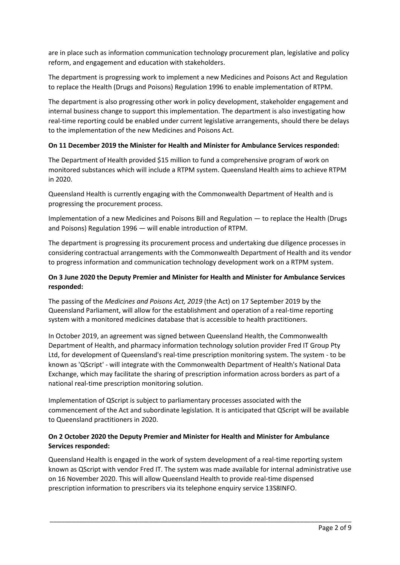are in place such as information communication technology procurement plan, legislative and policy reform, and engagement and education with stakeholders.

The department is progressing work to implement a new Medicines and Poisons Act and Regulation to replace the Health (Drugs and Poisons) Regulation 1996 to enable implementation of RTPM.

The department is also progressing other work in policy development, stakeholder engagement and internal business change to support this implementation. The department is also investigating how real-time reporting could be enabled under current legislative arrangements, should there be delays to the implementation of the new Medicines and Poisons Act.

### **On 11 December 2019 the Minister for Health and Minister for Ambulance Services responded:**

The Department of Health provided \$15 million to fund a comprehensive program of work on monitored substances which will include a RTPM system. Queensland Health aims to achieve RTPM in 2020.

Queensland Health is currently engaging with the Commonwealth Department of Health and is progressing the procurement process.

Implementation of a new Medicines and Poisons Bill and Regulation — to replace the Health (Drugs and Poisons) Regulation 1996 — will enable introduction of RTPM.

The department is progressing its procurement process and undertaking due diligence processes in considering contractual arrangements with the Commonwealth Department of Health and its vendor to progress information and communication technology development work on a RTPM system.

## **On 3 June 2020 the Deputy Premier and Minister for Health and Minister for Ambulance Services responded:**

The passing of the *Medicines and Poisons Act, 2019* (the Act) on 17 September 2019 by the Queensland Parliament, will allow for the establishment and operation of a real-time reporting system with a monitored medicines database that is accessible to health practitioners.

In October 2019, an agreement was signed between Queensland Health, the Commonwealth Department of Health, and pharmacy information technology solution provider Fred IT Group Pty Ltd, for development of Queensland's real-time prescription monitoring system. The system - to be known as 'QScript' - will integrate with the Commonwealth Department of Health's National Data Exchange, which may facilitate the sharing of prescription information across borders as part of a national real-time prescription monitoring solution.

Implementation of QScript is subject to parliamentary processes associated with the commencement of the Act and subordinate legislation. It is anticipated that QScript will be available to Queensland practitioners in 2020.

# **On 2 October 2020 the Deputy Premier and Minister for Health and Minister for Ambulance Services responded:**

Queensland Health is engaged in the work of system development of a real-time reporting system known as QScript with vendor Fred IT. The system was made available for internal administrative use on 16 November 2020. This will allow Queensland Health to provide real-time dispensed prescription information to prescribers via its telephone enquiry service 13S8INFO.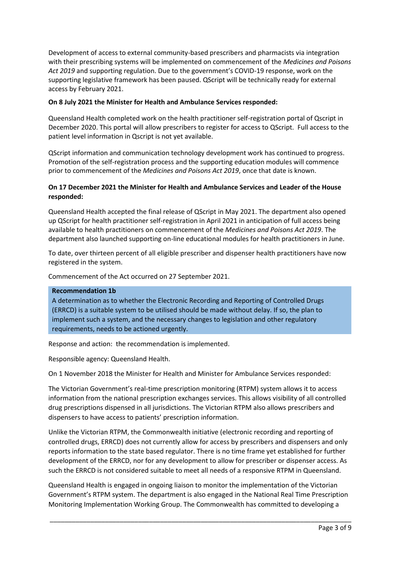Development of access to external community-based prescribers and pharmacists via integration with their prescribing systems will be implemented on commencement of the *Medicines and Poisons Act 2019* and supporting regulation. Due to the government's COVID-19 response, work on the supporting legislative framework has been paused. QScript will be technically ready for external access by February 2021.

### **On 8 July 2021 the Minister for Health and Ambulance Services responded:**

Queensland Health completed work on the health practitioner self-registration portal of Qscript in December 2020. This portal will allow prescribers to register for access to QScript. Full access to the patient level information in Qscript is not yet available.

QScript information and communication technology development work has continued to progress. Promotion of the self-registration process and the supporting education modules will commence prior to commencement of the *Medicines and Poisons Act 2019*, once that date is known.

### **On 17 December 2021 the Minister for Health and Ambulance Services and Leader of the House responded:**

Queensland Health accepted the final release of QScript in May 2021. The department also opened up QScript for health practitioner self-registration in April 2021 in anticipation of full access being available to health practitioners on commencement of the *Medicines and Poisons Act 2019*. The department also launched supporting on-line educational modules for health practitioners in June.

To date, over thirteen percent of all eligible prescriber and dispenser health practitioners have now registered in the system.

Commencement of the Act occurred on 27 September 2021.

#### **Recommendation 1b**

A determination as to whether the Electronic Recording and Reporting of Controlled Drugs (ERRCD) is a suitable system to be utilised should be made without delay. If so, the plan to implement such a system, and the necessary changes to legislation and other regulatory requirements, needs to be actioned urgently.

Response and action: the recommendation is implemented.

Responsible agency: Queensland Health.

On 1 November 2018 the Minister for Health and Minister for Ambulance Services responded:

The Victorian Government's real-time prescription monitoring (RTPM) system allows it to access information from the national prescription exchanges services. This allows visibility of all controlled drug prescriptions dispensed in all jurisdictions. The Victorian RTPM also allows prescribers and dispensers to have access to patients' prescription information.

Unlike the Victorian RTPM, the Commonwealth initiative (electronic recording and reporting of controlled drugs, ERRCD) does not currently allow for access by prescribers and dispensers and only reports information to the state based regulator. There is no time frame yet established for further development of the ERRCD, nor for any development to allow for prescriber or dispenser access. As such the ERRCD is not considered suitable to meet all needs of a responsive RTPM in Queensland.

Queensland Health is engaged in ongoing liaison to monitor the implementation of the Victorian Government's RTPM system. The department is also engaged in the National Real Time Prescription Monitoring Implementation Working Group. The Commonwealth has committed to developing a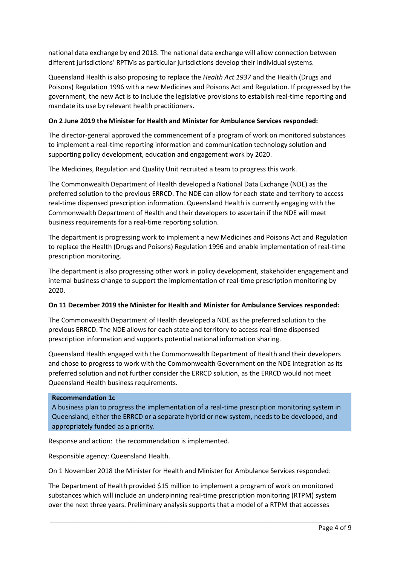national data exchange by end 2018. The national data exchange will allow connection between different jurisdictions' RPTMs as particular jurisdictions develop their individual systems.

Queensland Health is also proposing to replace the *Health Act 1937* and the Health (Drugs and Poisons) Regulation 1996 with a new Medicines and Poisons Act and Regulation. If progressed by the government, the new Act is to include the legislative provisions to establish real-time reporting and mandate its use by relevant health practitioners.

### **On 2 June 2019 the Minister for Health and Minister for Ambulance Services responded:**

The director-general approved the commencement of a program of work on monitored substances to implement a real-time reporting information and communication technology solution and supporting policy development, education and engagement work by 2020.

The Medicines, Regulation and Quality Unit recruited a team to progress this work.

The Commonwealth Department of Health developed a National Data Exchange (NDE) as the preferred solution to the previous ERRCD. The NDE can allow for each state and territory to access real-time dispensed prescription information. Queensland Health is currently engaging with the Commonwealth Department of Health and their developers to ascertain if the NDE will meet business requirements for a real-time reporting solution.

The department is progressing work to implement a new Medicines and Poisons Act and Regulation to replace the Health (Drugs and Poisons) Regulation 1996 and enable implementation of real-time prescription monitoring.

The department is also progressing other work in policy development, stakeholder engagement and internal business change to support the implementation of real-time prescription monitoring by 2020.

#### **On 11 December 2019 the Minister for Health and Minister for Ambulance Services responded:**

The Commonwealth Department of Health developed a NDE as the preferred solution to the previous ERRCD. The NDE allows for each state and territory to access real-time dispensed prescription information and supports potential national information sharing.

Queensland Health engaged with the Commonwealth Department of Health and their developers and chose to progress to work with the Commonwealth Government on the NDE integration as its preferred solution and not further consider the ERRCD solution, as the ERRCD would not meet Queensland Health business requirements.

#### **Recommendation 1c**

A business plan to progress the implementation of a real-time prescription monitoring system in Queensland, either the ERRCD or a separate hybrid or new system, needs to be developed, and appropriately funded as a priority.

Response and action: the recommendation is implemented.

Responsible agency: Queensland Health.

On 1 November 2018 the Minister for Health and Minister for Ambulance Services responded:

The Department of Health provided \$15 million to implement a program of work on monitored substances which will include an underpinning real-time prescription monitoring (RTPM) system over the next three years. Preliminary analysis supports that a model of a RTPM that accesses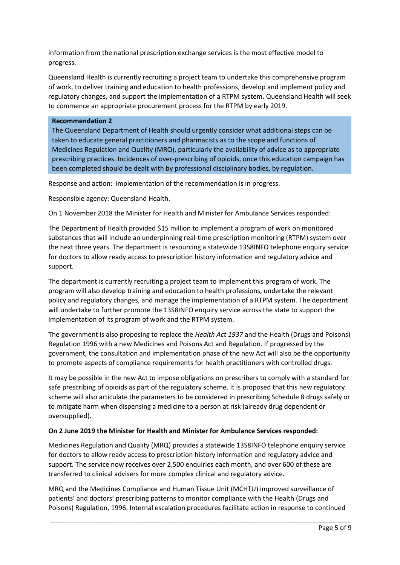information from the national prescription exchange services is the most effective model to progress.

Queensland Health is currently recruiting a project team to undertake this comprehensive program of work, to deliver training and education to health professions, develop and implement policy and regulatory changes, and support the implementation of a RTPM system. Queensland Health will seek to commence an appropriate procurement process for the RTPM by early 2019.

#### **Recommendation 2**

The Queensland Department of Health should urgently consider what additional steps can be taken to educate general practitioners and pharmacists as to the scope and functions of Medicines Regulation and Quality (MRQ), particularly the availability of advice as to appropriate prescribing practices. Incidences of over-prescribing of opioids, once this education campaign has been completed should be dealt with by professional disciplinary bodies, by regulation.

Response and action: implementation of the recommendation is in progress.

Responsible agency: Queensland Health.

On 1 November 2018 the Minister for Health and Minister for Ambulance Services responded:

The Department of Health provided \$15 million to implement a program of work on monitored substances that will include an underpinning real-time prescription monitoring (RTPM) system over the next three years. The department is resourcing a statewide 13S8INFO telephone enquiry service for doctors to allow ready access to prescription history information and regulatory advice and support.

The department is currently recruiting a project team to implement this program of work. The program will also develop training and education to health professions, undertake the relevant policy and regulatory changes, and manage the implementation of a RTPM system. The department will undertake to further promote the 13S8INFO enquiry service across the state to support the implementation of its program of work and the RTPM system.

The government is also proposing to replace the *Health Act 1937* and the Health (Drugs and Poisons) Regulation 1996 with a new Medicines and Poisons Act and Regulation. If progressed by the government, the consultation and implementation phase of the new Act will also be the opportunity to promote aspects of compliance requirements for health practitioners with controlled drugs.

It may be possible in the new Act to impose obligations on prescribers to comply with a standard for safe prescribing of opioids as part of the regulatory scheme. It is proposed that this new regulatory scheme will also articulate the parameters to be considered in prescribing Schedule 8 drugs safely or to mitigate harm when dispensing a medicine to a person at risk (already drug dependent or oversupplied).

#### **On 2 June 2019 the Minister for Health and Minister for Ambulance Services responded:**

Medicines Regulation and Quality (MRQ) provides a statewide 13S8INFO telephone enquiry service for doctors to allow ready access to prescription history information and regulatory advice and support. The service now receives over 2,500 enquiries each month, and over 600 of these are transferred to clinical advisers for more complex clinical and regulatory advice.

MRQ and the Medicines Compliance and Human Tissue Unit (MCHTU) improved surveillance of patients' and doctors' prescribing patterns to monitor compliance with the Health (Drugs and Poisons) Regulation, 1996. Internal escalation procedures facilitate action in response to continued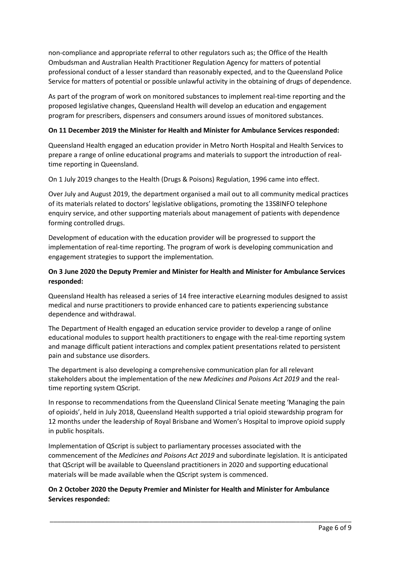non-compliance and appropriate referral to other regulators such as; the Office of the Health Ombudsman and Australian Health Practitioner Regulation Agency for matters of potential professional conduct of a lesser standard than reasonably expected, and to the Queensland Police Service for matters of potential or possible unlawful activity in the obtaining of drugs of dependence.

As part of the program of work on monitored substances to implement real-time reporting and the proposed legislative changes, Queensland Health will develop an education and engagement program for prescribers, dispensers and consumers around issues of monitored substances.

### **On 11 December 2019 the Minister for Health and Minister for Ambulance Services responded:**

Queensland Health engaged an education provider in Metro North Hospital and Health Services to prepare a range of online educational programs and materials to support the introduction of realtime reporting in Queensland.

On 1 July 2019 changes to the Health (Drugs & Poisons) Regulation, 1996 came into effect.

Over July and August 2019, the department organised a mail out to all community medical practices of its materials related to doctors' legislative obligations, promoting the 13S8INFO telephone enquiry service, and other supporting materials about management of patients with dependence forming controlled drugs.

Development of education with the education provider will be progressed to support the implementation of real-time reporting. The program of work is developing communication and engagement strategies to support the implementation.

## **On 3 June 2020 the Deputy Premier and Minister for Health and Minister for Ambulance Services responded:**

Queensland Health has released a series of 14 free interactive eLearning modules designed to assist medical and nurse practitioners to provide enhanced care to patients experiencing substance dependence and withdrawal.

The Department of Health engaged an education service provider to develop a range of online educational modules to support health practitioners to engage with the real-time reporting system and manage difficult patient interactions and complex patient presentations related to persistent pain and substance use disorders.

The department is also developing a comprehensive communication plan for all relevant stakeholders about the implementation of the new *Medicines and Poisons Act 2019* and the realtime reporting system QScript.

In response to recommendations from the Queensland Clinical Senate meeting 'Managing the pain of opioids', held in July 2018, Queensland Health supported a trial opioid stewardship program for 12 months under the leadership of Royal Brisbane and Women's Hospital to improve opioid supply in public hospitals.

Implementation of QScript is subject to parliamentary processes associated with the commencement of the *Medicines and Poisons Act 2019* and subordinate legislation. It is anticipated that QScript will be available to Queensland practitioners in 2020 and supporting educational materials will be made available when the QScript system is commenced.

\_\_\_\_\_\_\_\_\_\_\_\_\_\_\_\_\_\_\_\_\_\_\_\_\_\_\_\_\_\_\_\_\_\_\_\_\_\_\_\_\_\_\_\_\_\_\_\_\_\_\_\_\_\_\_\_\_\_\_\_\_\_\_\_\_\_\_\_\_\_\_\_\_\_\_\_\_\_\_\_\_\_

**On 2 October 2020 the Deputy Premier and Minister for Health and Minister for Ambulance Services responded:**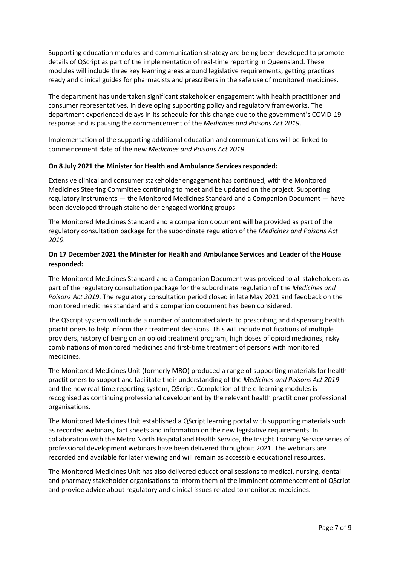Supporting education modules and communication strategy are being been developed to promote details of QScript as part of the implementation of real-time reporting in Queensland. These modules will include three key learning areas around legislative requirements, getting practices ready and clinical guides for pharmacists and prescribers in the safe use of monitored medicines.

The department has undertaken significant stakeholder engagement with health practitioner and consumer representatives, in developing supporting policy and regulatory frameworks. The department experienced delays in its schedule for this change due to the government's COVID-19 response and is pausing the commencement of the *Medicines and Poisons Act 2019*.

Implementation of the supporting additional education and communications will be linked to commencement date of the new *Medicines and Poisons Act 2019*.

### **On 8 July 2021 the Minister for Health and Ambulance Services responded:**

Extensive clinical and consumer stakeholder engagement has continued, with the Monitored Medicines Steering Committee continuing to meet and be updated on the project. Supporting regulatory instruments — the Monitored Medicines Standard and a Companion Document — have been developed through stakeholder engaged working groups.

The Monitored Medicines Standard and a companion document will be provided as part of the regulatory consultation package for the subordinate regulation of the *Medicines and Poisons Act 2019.*

## **On 17 December 2021 the Minister for Health and Ambulance Services and Leader of the House responded:**

The Monitored Medicines Standard and a Companion Document was provided to all stakeholders as part of the regulatory consultation package for the subordinate regulation of the *Medicines and Poisons Act 2019*. The regulatory consultation period closed in late May 2021 and feedback on the monitored medicines standard and a companion document has been considered.

The QScript system will include a number of automated alerts to prescribing and dispensing health practitioners to help inform their treatment decisions. This will include notifications of multiple providers, history of being on an opioid treatment program, high doses of opioid medicines, risky combinations of monitored medicines and first-time treatment of persons with monitored medicines.

The Monitored Medicines Unit (formerly MRQ) produced a range of supporting materials for health practitioners to support and facilitate their understanding of the *Medicines and Poisons Act 2019* and the new real-time reporting system, QScript. Completion of the e-learning modules is recognised as continuing professional development by the relevant health practitioner professional organisations.

The Monitored Medicines Unit established a QScript learning portal with supporting materials such as recorded webinars, fact sheets and information on the new legislative requirements. In collaboration with the Metro North Hospital and Health Service, the Insight Training Service series of professional development webinars have been delivered throughout 2021. The webinars are recorded and available for later viewing and will remain as accessible educational resources.

The Monitored Medicines Unit has also delivered educational sessions to medical, nursing, dental and pharmacy stakeholder organisations to inform them of the imminent commencement of QScript and provide advice about regulatory and clinical issues related to monitored medicines.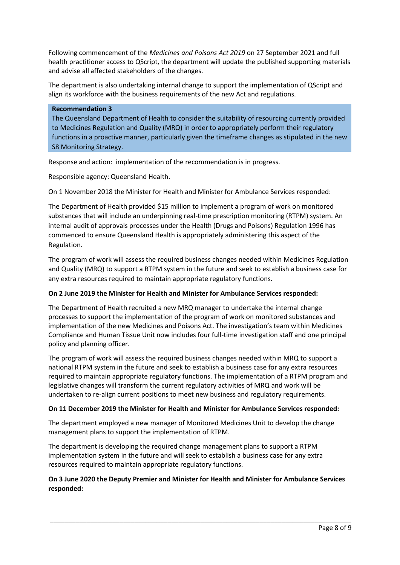Following commencement of the *Medicines and Poisons Act 2019* on 27 September 2021 and full health practitioner access to QScript, the department will update the published supporting materials and advise all affected stakeholders of the changes.

The department is also undertaking internal change to support the implementation of QScript and align its workforce with the business requirements of the new Act and regulations.

#### **Recommendation 3**

The Queensland Department of Health to consider the suitability of resourcing currently provided to Medicines Regulation and Quality (MRQ) in order to appropriately perform their regulatory functions in a proactive manner, particularly given the timeframe changes as stipulated in the new S8 Monitoring Strategy.

Response and action: implementation of the recommendation is in progress.

Responsible agency: Queensland Health.

On 1 November 2018 the Minister for Health and Minister for Ambulance Services responded:

The Department of Health provided \$15 million to implement a program of work on monitored substances that will include an underpinning real-time prescription monitoring (RTPM) system. An internal audit of approvals processes under the Health (Drugs and Poisons) Regulation 1996 has commenced to ensure Queensland Health is appropriately administering this aspect of the Regulation.

The program of work will assess the required business changes needed within Medicines Regulation and Quality (MRQ) to support a RTPM system in the future and seek to establish a business case for any extra resources required to maintain appropriate regulatory functions.

#### **On 2 June 2019 the Minister for Health and Minister for Ambulance Services responded:**

The Department of Health recruited a new MRQ manager to undertake the internal change processes to support the implementation of the program of work on monitored substances and implementation of the new Medicines and Poisons Act. The investigation's team within Medicines Compliance and Human Tissue Unit now includes four full-time investigation staff and one principal policy and planning officer.

The program of work will assess the required business changes needed within MRQ to support a national RTPM system in the future and seek to establish a business case for any extra resources required to maintain appropriate regulatory functions. The implementation of a RTPM program and legislative changes will transform the current regulatory activities of MRQ and work will be undertaken to re-align current positions to meet new business and regulatory requirements.

#### **On 11 December 2019 the Minister for Health and Minister for Ambulance Services responded:**

The department employed a new manager of Monitored Medicines Unit to develop the change management plans to support the implementation of RTPM.

The department is developing the required change management plans to support a RTPM implementation system in the future and will seek to establish a business case for any extra resources required to maintain appropriate regulatory functions.

## **On 3 June 2020 the Deputy Premier and Minister for Health and Minister for Ambulance Services responded:**